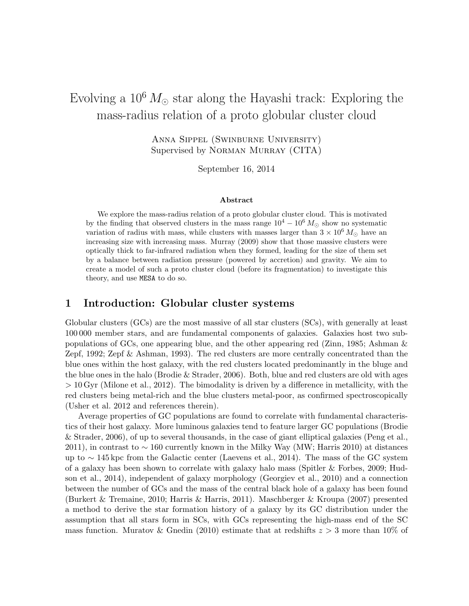# Evolving a  $10^6 M_{\odot}$  star along the Hayashi track: Exploring the mass-radius relation of a proto globular cluster cloud

Anna Sippel (Swinburne University) Supervised by Norman Murray (CITA)

September 16, 2014

#### Abstract

We explore the mass-radius relation of a proto globular cluster cloud. This is motivated by the finding that observed clusters in the mass range  $10^4 - 10^6 M_{\odot}$  show no systematic variation of radius with mass, while clusters with masses larger than  $3 \times 10^6 M_{\odot}$  have an increasing size with increasing mass. Murray (2009) show that those massive clusters were optically thick to far-infrared radiation when they formed, leading for the size of them set by a balance between radiation pressure (powered by accretion) and gravity. We aim to create a model of such a proto cluster cloud (before its fragmentation) to investigate this theory, and use MESA to do so.

## 1 Introduction: Globular cluster systems

Globular clusters (GCs) are the most massive of all star clusters (SCs), with generally at least 100 000 member stars, and are fundamental components of galaxies. Galaxies host two subpopulations of GCs, one appearing blue, and the other appearing red (Zinn, 1985; Ashman & Zepf, 1992; Zepf & Ashman, 1993). The red clusters are more centrally concentrated than the blue ones within the host galaxy, with the red clusters located predominantly in the bluge and the blue ones in the halo (Brodie & Strader, 2006). Both, blue and red clusters are old with ages  $> 10$  Gyr (Milone et al., 2012). The bimodality is driven by a difference in metallicity, with the red clusters being metal-rich and the blue clusters metal-poor, as confirmed spectroscopically (Usher et al. 2012 and references therein).

Average properties of GC populations are found to correlate with fundamental characteristics of their host galaxy. More luminous galaxies tend to feature larger GC populations (Brodie & Strader, 2006), of up to several thousands, in the case of giant elliptical galaxies (Peng et al., 2011), in contrast to ∼ 160 currently known in the Milky Way (MW; Harris 2010) at distances up to ∼ 145 kpc from the Galactic center (Laevens et al., 2014). The mass of the GC system of a galaxy has been shown to correlate with galaxy halo mass (Spitler & Forbes, 2009; Hudson et al., 2014), independent of galaxy morphology (Georgiev et al., 2010) and a connection between the number of GCs and the mass of the central black hole of a galaxy has been found (Burkert & Tremaine, 2010; Harris & Harris, 2011). Maschberger & Kroupa (2007) presented a method to derive the star formation history of a galaxy by its GC distribution under the assumption that all stars form in SCs, with GCs representing the high-mass end of the SC mass function. Muratov & Gnedin (2010) estimate that at redshifts  $z > 3$  more than 10% of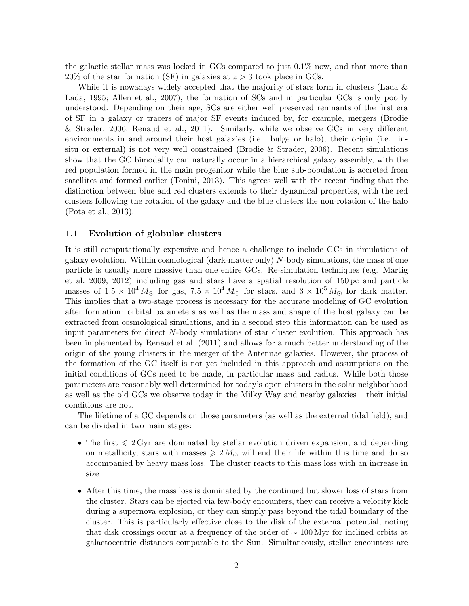the galactic stellar mass was locked in GCs compared to just 0.1% now, and that more than  $20\%$  of the star formation (SF) in galaxies at  $z > 3$  took place in GCs.

While it is nowadays widely accepted that the majority of stars form in clusters (Lada & Lada, 1995; Allen et al., 2007), the formation of SCs and in particular GCs is only poorly understood. Depending on their age, SCs are either well preserved remnants of the first era of SF in a galaxy or tracers of major SF events induced by, for example, mergers (Brodie & Strader, 2006; Renaud et al., 2011). Similarly, while we observe GCs in very different environments in and around their host galaxies (i.e. bulge or halo), their origin (i.e. insitu or external) is not very well constrained (Brodie & Strader, 2006). Recent simulations show that the GC bimodality can naturally occur in a hierarchical galaxy assembly, with the red population formed in the main progenitor while the blue sub-population is accreted from satellites and formed earlier (Tonini, 2013). This agrees well with the recent finding that the distinction between blue and red clusters extends to their dynamical properties, with the red clusters following the rotation of the galaxy and the blue clusters the non-rotation of the halo (Pota et al., 2013).

#### 1.1 Evolution of globular clusters

It is still computationally expensive and hence a challenge to include GCs in simulations of galaxy evolution. Within cosmological (dark-matter only) N-body simulations, the mass of one particle is usually more massive than one entire GCs. Re-simulation techniques (e.g. Martig et al. 2009, 2012) including gas and stars have a spatial resolution of 150 pc and particle masses of  $1.5 \times 10^4 M_{\odot}$  for gas,  $7.5 \times 10^4 M_{\odot}$  for stars, and  $3 \times 10^5 M_{\odot}$  for dark matter. This implies that a two-stage process is necessary for the accurate modeling of GC evolution after formation: orbital parameters as well as the mass and shape of the host galaxy can be extracted from cosmological simulations, and in a second step this information can be used as input parameters for direct N-body simulations of star cluster evolution. This approach has been implemented by Renaud et al. (2011) and allows for a much better understanding of the origin of the young clusters in the merger of the Antennae galaxies. However, the process of the formation of the GC itself is not yet included in this approach and assumptions on the initial conditions of GCs need to be made, in particular mass and radius. While both those parameters are reasonably well determined for today's open clusters in the solar neighborhood as well as the old GCs we observe today in the Milky Way and nearby galaxies – their initial conditions are not.

The lifetime of a GC depends on those parameters (as well as the external tidal field), and can be divided in two main stages:

- The first  $\leq 2$  Gyr are dominated by stellar evolution driven expansion, and depending on metallicity, stars with masses  $\geq 2 M_{\odot}$  will end their life within this time and do so accompanied by heavy mass loss. The cluster reacts to this mass loss with an increase in size.
- After this time, the mass loss is dominated by the continued but slower loss of stars from the cluster. Stars can be ejected via few-body encounters, they can receive a velocity kick during a supernova explosion, or they can simply pass beyond the tidal boundary of the cluster. This is particularly effective close to the disk of the external potential, noting that disk crossings occur at a frequency of the order of  $\sim 100 \,\mathrm{Myr}$  for inclined orbits at galactocentric distances comparable to the Sun. Simultaneously, stellar encounters are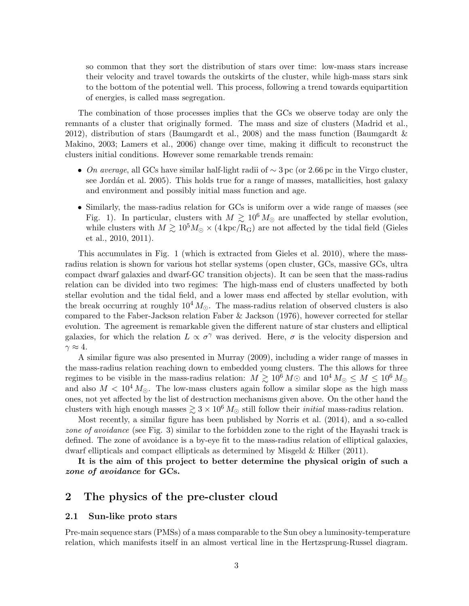so common that they sort the distribution of stars over time: low-mass stars increase their velocity and travel towards the outskirts of the cluster, while high-mass stars sink to the bottom of the potential well. This process, following a trend towards equipartition of energies, is called mass segregation.

The combination of those processes implies that the GCs we observe today are only the remnants of a cluster that originally formed. The mass and size of clusters (Madrid et al., 2012), distribution of stars (Baumgardt et al., 2008) and the mass function (Baumgardt & Makino, 2003; Lamers et al., 2006) change over time, making it difficult to reconstruct the clusters initial conditions. However some remarkable trends remain:

- On average, all GCs have similar half-light radii of  $\sim$  3 pc (or 2.66 pc in the Virgo cluster, see Jordán et al. 2005). This holds true for a range of masses, matallicities, host galaxy and environment and possibly initial mass function and age.
- Similarly, the mass-radius relation for GCs is uniform over a wide range of masses (see Fig. 1). In particular, clusters with  $M \gtrsim 10^6 M_{\odot}$  are unaffected by stellar evolution, while clusters with  $M \gtrsim 10^5 M_{\odot} \times (4 \text{ kpc/R}_G)$  are not affected by the tidal field (Gieles et al., 2010, 2011).

This accumulates in Fig. 1 (which is extracted from Gieles et al. 2010), where the massradius relation is shown for various hot stellar systems (open cluster, GCs, massive GCs, ultra compact dwarf galaxies and dwarf-GC transition objects). It can be seen that the mass-radius relation can be divided into two regimes: The high-mass end of clusters unaffected by both stellar evolution and the tidal field, and a lower mass end affected by stellar evolution, with the break occurring at roughly  $10^4 M_{\odot}$ . The mass-radius relation of observed clusters is also compared to the Faber-Jackson relation Faber & Jackson (1976), however corrected for stellar evolution. The agreement is remarkable given the different nature of star clusters and elliptical galaxies, for which the relation  $L \propto \sigma^{\gamma}$  was derived. Here,  $\sigma$  is the velocity dispersion and  $\gamma \approx 4$ .

A similar figure was also presented in Murray (2009), including a wider range of masses in the mass-radius relation reaching down to embedded young clusters. The this allows for three regimes to be visible in the mass-radius relation:  $M \gtrsim 10^6 M_{\odot}$  and  $10^4 M_{\odot} \leq M \leq 10^6 M_{\odot}$ and also  $M < 10<sup>4</sup> M_{\odot}$ . The low-mass clusters again follow a similar slope as the high mass ones, not yet affected by the list of destruction mechanisms given above. On the other hand the clusters with high enough masses  $\geq 3 \times 10^6 M_{\odot}$  still follow their *initial* mass-radius relation.

Most recently, a similar figure has been published by Norris et al. (2014), and a so-called zone of avoidance (see Fig. 3) similar to the forbidden zone to the right of the Hayashi track is defined. The zone of avoidance is a by-eye fit to the mass-radius relation of elliptical galaxies, dwarf ellipticals and compact ellipticals as determined by Misgeld & Hilker (2011).

It is the aim of this project to better determine the physical origin of such a zone of avoidance for GCs.

#### 2 The physics of the pre-cluster cloud

#### 2.1 Sun-like proto stars

Pre-main sequence stars (PMSs) of a mass comparable to the Sun obey a luminosity-temperature relation, which manifests itself in an almost vertical line in the Hertzsprung-Russel diagram.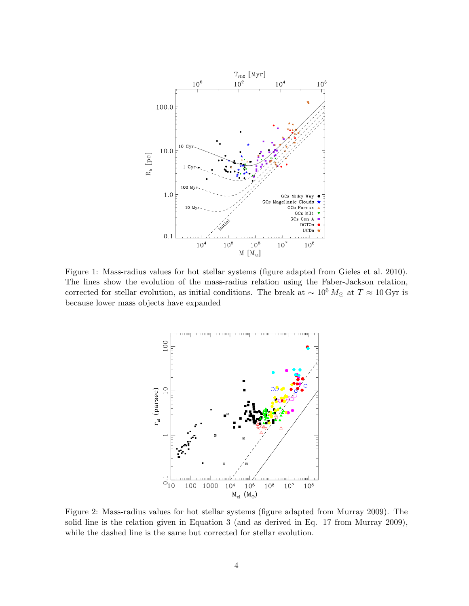

Figure 1: Mass-radius values for hot stellar systems (figure adapted from Gieles et al. 2010). The lines show the evolution of the mass-radius relation using the Faber-Jackson relation, corrected for stellar evolution, as initial conditions. The break at  $\sim 10^6 M_{\odot}$  at  $T \approx 10 \,\text{Gyr}$  is because lower mass objects have expanded



Figure 2: Mass-radius values for hot stellar systems (figure adapted from Murray 2009). The solid line is the relation given in Equation 3 (and as derived in Eq. 17 from Murray 2009), while the dashed line is the same but corrected for stellar evolution.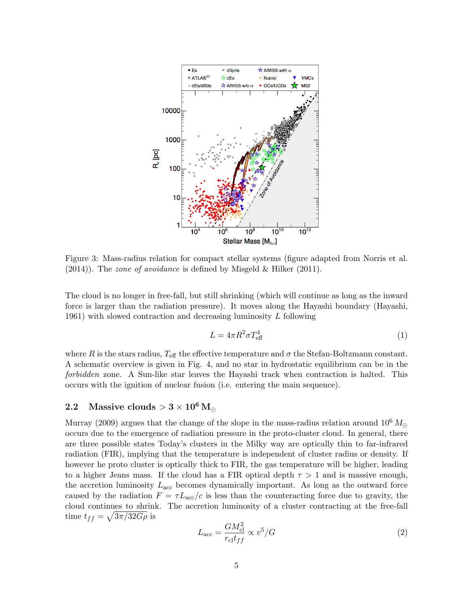

Figure 3: Mass-radius relation for compact stellar systems (figure adapted from Norris et al. (2014)). The zone of avoidance is defined by Misgeld & Hilker (2011).

The cloud is no longer in free-fall, but still shrinking (which will continue as long as the inward force is larger than the radiation pressure). It moves along the Hayashi boundary (Hayashi, 1961) with slowed contraction and decreasing luminosity  $L$  following

$$
L = 4\pi R^2 \sigma T_{\text{eff}}^4 \tag{1}
$$

where R is the stars radius,  $T_{\text{eff}}$  the effective temperature and  $\sigma$  the Stefan-Boltzmann constant. A schematic overview is given in Fig. 4, and no star in hydrostatic equilibrium can be in the forbidden zone. A Sun-like star leaves the Hayashi track when contraction is halted. This occurs with the ignition of nuclear fusion (i.e. entering the main sequence).

## 2.2 Massive clouds  $> 3 \times 10^6$  M

Murray (2009) argues that the change of the slope in the mass-radius relation around  $10^6 M_{\odot}$ occurs due to the emergence of radiation pressure in the proto-cluster cloud. In general, there are three possible states Today's clusters in the Milky way are optically thin to far-infrared radiation (FIR), implying that the temperature is independent of cluster radius or density. If however he proto cluster is optically thick to FIR, the gas temperature will be higher, leading to a higher Jeans mass. If the cloud has a FIR optical depth  $\tau > 1$  and is massive enough, the accretion luminosity  $L_{\text{acc}}$  becomes dynamically important. As long as the outward force caused by the radiation  $F = \tau L_{\text{acc}}/c$  is less than the counteracting force due to gravity, the cloud continues to shrink. The accretion luminosity of a cluster contracting at the free-fall time  $t_{ff} = \sqrt{3\pi/32G\rho}$  is

$$
L_{\rm acc} = \frac{GM_{\rm cl}^2}{r_{\rm cl}t_{ff}} \propto v^5/G\tag{2}
$$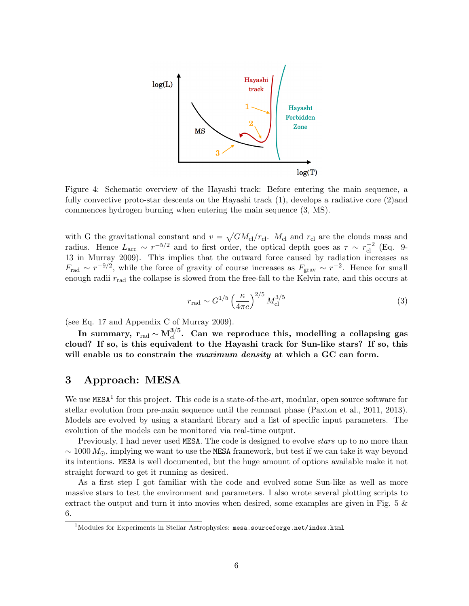

Figure 4: Schematic overview of the Hayashi track: Before entering the main sequence, a fully convective proto-star descents on the Hayashi track (1), develops a radiative core (2)and commences hydrogen burning when entering the main sequence (3, MS).

with G the gravitational constant and  $v = \sqrt{GM_{\text{cl}}/r_{\text{cl}}}$ .  $M_{\text{cl}}$  and  $r_{\text{cl}}$  are the clouds mass and radius. Hence  $L_{\text{acc}} \sim r^{-5/2}$  and to first order, the optical depth goes as  $\tau \sim r_{\text{cl}}^{-2}$  (Eq. 9-13 in Murray 2009). This implies that the outward force caused by radiation increases as  $F_{\text{rad}} \sim r^{-9/2}$ , while the force of gravity of course increases as  $F_{\text{grav}} \sim r^{-2}$ . Hence for small enough radii  $r_{\text{rad}}$  the collapse is slowed from the free-fall to the Kelvin rate, and this occurs at

$$
r_{\rm rad} \sim G^{1/5} \left(\frac{\kappa}{4\pi c}\right)^{2/5} M_{\rm cl}^{3/5} \tag{3}
$$

(see Eq. 17 and Appendix C of Murray 2009).

In summary,  $\rm r_{\rm rad}\sim M_{cl}^{3/5}.$  Can we reproduce this, modelling a collapsing gas cloud? If so, is this equivalent to the Hayashi track for Sun-like stars? If so, this will enable us to constrain the *maximum density* at which a GC can form.

# 3 Approach: MESA

We use  $MESA<sup>1</sup>$  for this project. This code is a state-of-the-art, modular, open source software for stellar evolution from pre-main sequence until the remnant phase (Paxton et al., 2011, 2013). Models are evolved by using a standard library and a list of specific input parameters. The evolution of the models can be monitored via real-time output.

Previously, I had never used MESA. The code is designed to evolve *stars* up to no more than  $\sim 1000 M_{\odot}$ , implying we want to use the MESA framework, but test if we can take it way beyond its intentions. MESA is well documented, but the huge amount of options available make it not straight forward to get it running as desired.

As a first step I got familiar with the code and evolved some Sun-like as well as more massive stars to test the environment and parameters. I also wrote several plotting scripts to extract the output and turn it into movies when desired, some examples are given in Fig. 5 & 6.

 $1$ Modules for Experiments in Stellar Astrophysics: mesa.sourceforge.net/index.html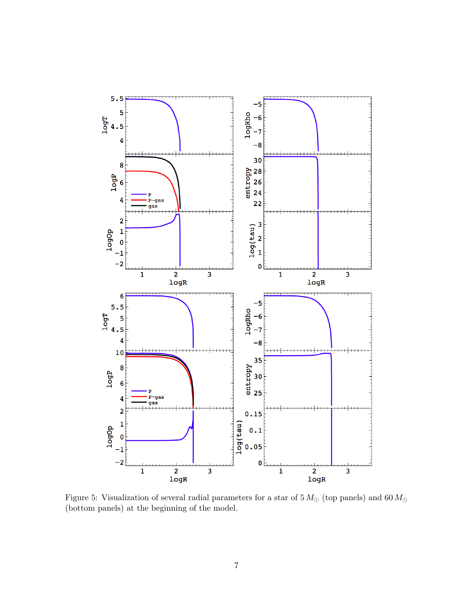

Figure 5: Visualization of several radial parameters for a star of  $5\,M_\odot$  (top panels) and  $60\,M_\odot$ (bottom panels) at the beginning of the model.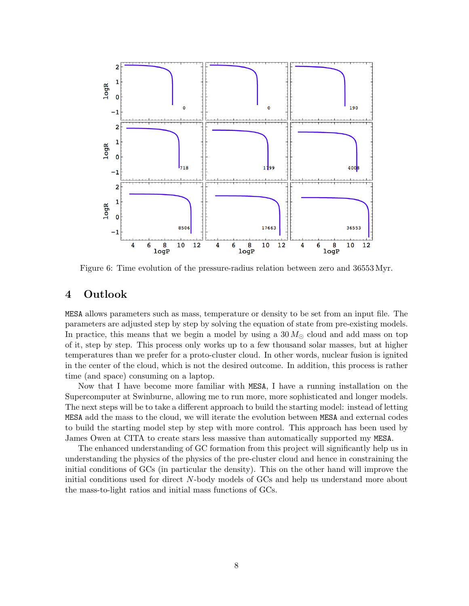

Figure 6: Time evolution of the pressure-radius relation between zero and 36553 Myr.

## 4 Outlook

MESA allows parameters such as mass, temperature or density to be set from an input file. The parameters are adjusted step by step by solving the equation of state from pre-existing models. In practice, this means that we begin a model by using a  $30 M_{\odot}$  cloud and add mass on top of it, step by step. This process only works up to a few thousand solar masses, but at higher temperatures than we prefer for a proto-cluster cloud. In other words, nuclear fusion is ignited in the center of the cloud, which is not the desired outcome. In addition, this process is rather time (and space) consuming on a laptop.

Now that I have become more familiar with MESA, I have a running installation on the Supercomputer at Swinburne, allowing me to run more, more sophisticated and longer models. The next steps will be to take a different approach to build the starting model: instead of letting MESA add the mass to the cloud, we will iterate the evolution between MESA and external codes to build the starting model step by step with more control. This approach has been used by James Owen at CITA to create stars less massive than automatically supported my MESA.

The enhanced understanding of GC formation from this project will significantly help us in understanding the physics of the physics of the pre-cluster cloud and hence in constraining the initial conditions of GCs (in particular the density). This on the other hand will improve the initial conditions used for direct N-body models of GCs and help us understand more about the mass-to-light ratios and initial mass functions of GCs.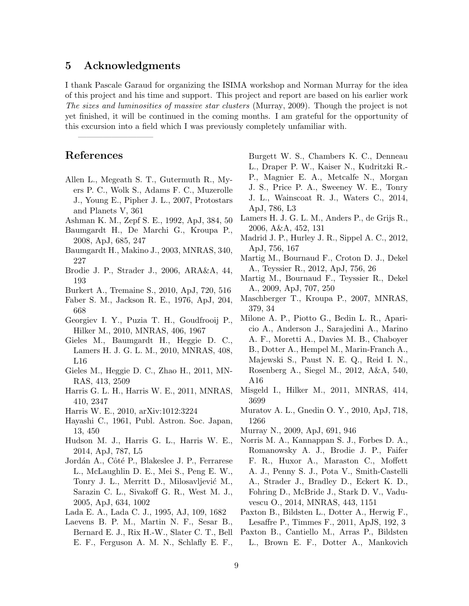#### 5 Acknowledgments

————————————————————

I thank Pascale Garaud for organizing the ISIMA workshop and Norman Murray for the idea of this project and his time and support. This project and report are based on his earlier work The sizes and luminosities of massive star clusters (Murray, 2009). Though the project is not yet finished, it will be continued in the coming months. I am grateful for the opportunity of this excursion into a field which I was previously completely unfamiliar with.

## References

- Allen L., Megeath S. T., Gutermuth R., Myers P. C., Wolk S., Adams F. C., Muzerolle J., Young E., Pipher J. L., 2007, Protostars and Planets V, 361
- Ashman K. M., Zepf S. E., 1992, ApJ, 384, 50
- Baumgardt H., De Marchi G., Kroupa P., 2008, ApJ, 685, 247
- Baumgardt H., Makino J., 2003, MNRAS, 340, 227
- Brodie J. P., Strader J., 2006, ARA&A, 44, 193
- Burkert A., Tremaine S., 2010, ApJ, 720, 516
- Faber S. M., Jackson R. E., 1976, ApJ, 204, 668
- Georgiev I. Y., Puzia T. H., Goudfrooij P., Hilker M., 2010, MNRAS, 406, 1967
- Gieles M., Baumgardt H., Heggie D. C., Lamers H. J. G. L. M., 2010, MNRAS, 408, L16
- Gieles M., Heggie D. C., Zhao H., 2011, MN-RAS, 413, 2509
- Harris G. L. H., Harris W. E., 2011, MNRAS, 410, 2347
- Harris W. E., 2010, arXiv:1012:3224
- Hayashi C., 1961, Publ. Astron. Soc. Japan, 13, 450
- Hudson M. J., Harris G. L., Harris W. E., 2014, ApJ, 787, L5
- Jordán A., Côté P., Blakeslee J. P., Ferrarese L., McLaughlin D. E., Mei S., Peng E. W., Tonry J. L., Merritt D., Milosavljević M., Sarazin C. L., Sivakoff G. R., West M. J., 2005, ApJ, 634, 1002
- Lada E. A., Lada C. J., 1995, AJ, 109, 1682
- Laevens B. P. M., Martin N. F., Sesar B., Bernard E. J., Rix H.-W., Slater C. T., Bell E. F., Ferguson A. M. N., Schlafly E. F.,

Burgett W. S., Chambers K. C., Denneau L., Draper P. W., Kaiser N., Kudritzki R.- P., Magnier E. A., Metcalfe N., Morgan J. S., Price P. A., Sweeney W. E., Tonry J. L., Wainscoat R. J., Waters C., 2014, ApJ, 786, L3

- Lamers H. J. G. L. M., Anders P., de Grijs R., 2006, A&A, 452, 131
- Madrid J. P., Hurley J. R., Sippel A. C., 2012, ApJ, 756, 167
- Martig M., Bournaud F., Croton D. J., Dekel A., Teyssier R., 2012, ApJ, 756, 26
- Martig M., Bournaud F., Teyssier R., Dekel A., 2009, ApJ, 707, 250
- Maschberger T., Kroupa P., 2007, MNRAS, 379, 34
- Milone A. P., Piotto G., Bedin L. R., Aparicio A., Anderson J., Sarajedini A., Marino A. F., Moretti A., Davies M. B., Chaboyer B., Dotter A., Hempel M., Marin-Franch A., Majewski S., Paust N. E. Q., Reid I. N., Rosenberg A., Siegel M., 2012, A&A, 540, A16
- Misgeld I., Hilker M., 2011, MNRAS, 414, 3699
- Muratov A. L., Gnedin O. Y., 2010, ApJ, 718, 1266
- Murray N., 2009, ApJ, 691, 946
- Norris M. A., Kannappan S. J., Forbes D. A., Romanowsky A. J., Brodie J. P., Faifer F. R., Huxor A., Maraston C., Moffett A. J., Penny S. J., Pota V., Smith-Castelli A., Strader J., Bradley D., Eckert K. D., Fohring D., McBride J., Stark D. V., Vaduvescu O., 2014, MNRAS, 443, 1151
- Paxton B., Bildsten L., Dotter A., Herwig F., Lesaffre P., Timmes F., 2011, ApJS, 192, 3
- Paxton B., Cantiello M., Arras P., Bildsten L., Brown E. F., Dotter A., Mankovich